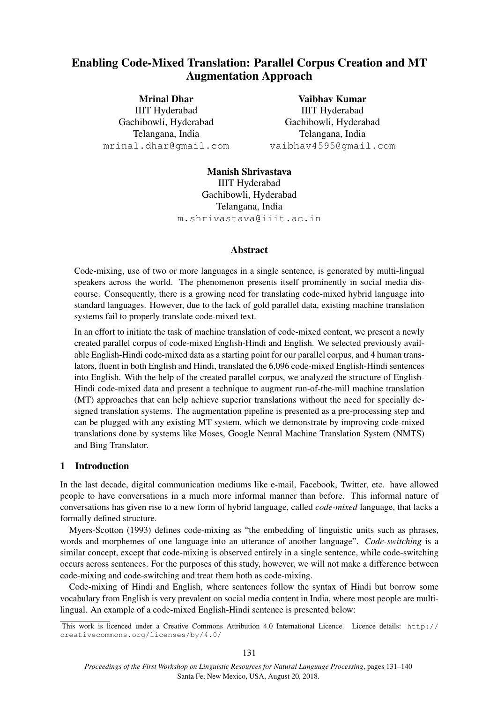# Enabling Code-Mixed Translation: Parallel Corpus Creation and MT Augmentation Approach

Mrinal Dhar IIIT Hyderabad Gachibowli, Hyderabad Telangana, India mrinal.dhar@gmail.com

Vaibhav Kumar IIIT Hyderabad Gachibowli, Hyderabad Telangana, India vaibhav4595@gmail.com

Manish Shrivastava IIIT Hyderabad Gachibowli, Hyderabad Telangana, India m.shrivastava@iiit.ac.in

### Abstract

Code-mixing, use of two or more languages in a single sentence, is generated by multi-lingual speakers across the world. The phenomenon presents itself prominently in social media discourse. Consequently, there is a growing need for translating code-mixed hybrid language into standard languages. However, due to the lack of gold parallel data, existing machine translation systems fail to properly translate code-mixed text.

In an effort to initiate the task of machine translation of code-mixed content, we present a newly created parallel corpus of code-mixed English-Hindi and English. We selected previously available English-Hindi code-mixed data as a starting point for our parallel corpus, and 4 human translators, fluent in both English and Hindi, translated the 6,096 code-mixed English-Hindi sentences into English. With the help of the created parallel corpus, we analyzed the structure of English-Hindi code-mixed data and present a technique to augment run-of-the-mill machine translation (MT) approaches that can help achieve superior translations without the need for specially designed translation systems. The augmentation pipeline is presented as a pre-processing step and can be plugged with any existing MT system, which we demonstrate by improving code-mixed translations done by systems like Moses, Google Neural Machine Translation System (NMTS) and Bing Translator.

## 1 Introduction

In the last decade, digital communication mediums like e-mail, Facebook, Twitter, etc. have allowed people to have conversations in a much more informal manner than before. This informal nature of conversations has given rise to a new form of hybrid language, called *code-mixed* language, that lacks a formally defined structure.

Myers-Scotton (1993) defines code-mixing as "the embedding of linguistic units such as phrases, words and morphemes of one language into an utterance of another language". *Code-switching* is a similar concept, except that code-mixing is observed entirely in a single sentence, while code-switching occurs across sentences. For the purposes of this study, however, we will not make a difference between code-mixing and code-switching and treat them both as code-mixing.

Code-mixing of Hindi and English, where sentences follow the syntax of Hindi but borrow some vocabulary from English is very prevalent on social media content in India, where most people are multilingual. An example of a code-mixed English-Hindi sentence is presented below:

This work is licenced under a Creative Commons Attribution 4.0 International Licence. Licence details: http:// creativecommons.org/licenses/by/4.0/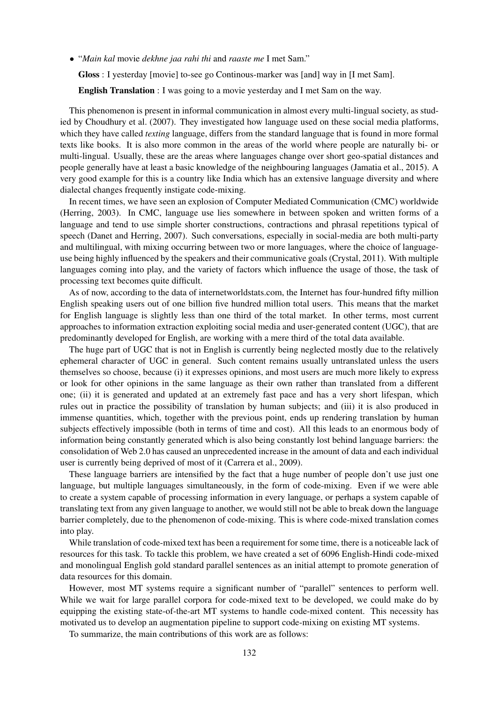• "*Main kal* movie *dekhne jaa rahi thi* and *raaste me* I met Sam."

Gloss : I yesterday [movie] to-see go Continous-marker was [and] way in [I met Sam].

English Translation : I was going to a movie yesterday and I met Sam on the way.

This phenomenon is present in informal communication in almost every multi-lingual society, as studied by Choudhury et al. (2007). They investigated how language used on these social media platforms, which they have called *texting* language, differs from the standard language that is found in more formal texts like books. It is also more common in the areas of the world where people are naturally bi- or multi-lingual. Usually, these are the areas where languages change over short geo-spatial distances and people generally have at least a basic knowledge of the neighbouring languages (Jamatia et al., 2015). A very good example for this is a country like India which has an extensive language diversity and where dialectal changes frequently instigate code-mixing.

In recent times, we have seen an explosion of Computer Mediated Communication (CMC) worldwide (Herring, 2003). In CMC, language use lies somewhere in between spoken and written forms of a language and tend to use simple shorter constructions, contractions and phrasal repetitions typical of speech (Danet and Herring, 2007). Such conversations, especially in social-media are both multi-party and multilingual, with mixing occurring between two or more languages, where the choice of languageuse being highly influenced by the speakers and their communicative goals (Crystal, 2011). With multiple languages coming into play, and the variety of factors which influence the usage of those, the task of processing text becomes quite difficult.

As of now, according to the data of internetworldstats.com, the Internet has four-hundred fifty million English speaking users out of one billion five hundred million total users. This means that the market for English language is slightly less than one third of the total market. In other terms, most current approaches to information extraction exploiting social media and user-generated content (UGC), that are predominantly developed for English, are working with a mere third of the total data available.

The huge part of UGC that is not in English is currently being neglected mostly due to the relatively ephemeral character of UGC in general. Such content remains usually untranslated unless the users themselves so choose, because (i) it expresses opinions, and most users are much more likely to express or look for other opinions in the same language as their own rather than translated from a different one; (ii) it is generated and updated at an extremely fast pace and has a very short lifespan, which rules out in practice the possibility of translation by human subjects; and (iii) it is also produced in immense quantities, which, together with the previous point, ends up rendering translation by human subjects effectively impossible (both in terms of time and cost). All this leads to an enormous body of information being constantly generated which is also being constantly lost behind language barriers: the consolidation of Web 2.0 has caused an unprecedented increase in the amount of data and each individual user is currently being deprived of most of it (Carrera et al., 2009).

These language barriers are intensified by the fact that a huge number of people don't use just one language, but multiple languages simultaneously, in the form of code-mixing. Even if we were able to create a system capable of processing information in every language, or perhaps a system capable of translating text from any given language to another, we would still not be able to break down the language barrier completely, due to the phenomenon of code-mixing. This is where code-mixed translation comes into play.

While translation of code-mixed text has been a requirement for some time, there is a noticeable lack of resources for this task. To tackle this problem, we have created a set of 6096 English-Hindi code-mixed and monolingual English gold standard parallel sentences as an initial attempt to promote generation of data resources for this domain.

However, most MT systems require a significant number of "parallel" sentences to perform well. While we wait for large parallel corpora for code-mixed text to be developed, we could make do by equipping the existing state-of-the-art MT systems to handle code-mixed content. This necessity has motivated us to develop an augmentation pipeline to support code-mixing on existing MT systems.

To summarize, the main contributions of this work are as follows: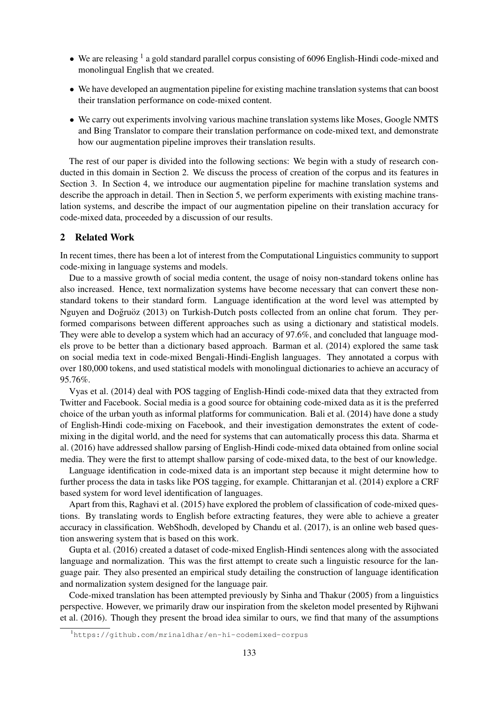- We are releasing  $<sup>1</sup>$  a gold standard parallel corpus consisting of 6096 English-Hindi code-mixed and</sup> monolingual English that we created.
- We have developed an augmentation pipeline for existing machine translation systems that can boost their translation performance on code-mixed content.
- We carry out experiments involving various machine translation systems like Moses, Google NMTS and Bing Translator to compare their translation performance on code-mixed text, and demonstrate how our augmentation pipeline improves their translation results.

The rest of our paper is divided into the following sections: We begin with a study of research conducted in this domain in Section 2. We discuss the process of creation of the corpus and its features in Section 3. In Section 4, we introduce our augmentation pipeline for machine translation systems and describe the approach in detail. Then in Section 5, we perform experiments with existing machine translation systems, and describe the impact of our augmentation pipeline on their translation accuracy for code-mixed data, proceeded by a discussion of our results.

### 2 Related Work

In recent times, there has been a lot of interest from the Computational Linguistics community to support code-mixing in language systems and models.

Due to a massive growth of social media content, the usage of noisy non-standard tokens online has also increased. Hence, text normalization systems have become necessary that can convert these nonstandard tokens to their standard form. Language identification at the word level was attempted by Nguyen and Doğruöz (2013) on Turkish-Dutch posts collected from an online chat forum. They performed comparisons between different approaches such as using a dictionary and statistical models. They were able to develop a system which had an accuracy of 97.6%, and concluded that language models prove to be better than a dictionary based approach. Barman et al. (2014) explored the same task on social media text in code-mixed Bengali-Hindi-English languages. They annotated a corpus with over 180,000 tokens, and used statistical models with monolingual dictionaries to achieve an accuracy of 95.76%.

Vyas et al. (2014) deal with POS tagging of English-Hindi code-mixed data that they extracted from Twitter and Facebook. Social media is a good source for obtaining code-mixed data as it is the preferred choice of the urban youth as informal platforms for communication. Bali et al. (2014) have done a study of English-Hindi code-mixing on Facebook, and their investigation demonstrates the extent of codemixing in the digital world, and the need for systems that can automatically process this data. Sharma et al. (2016) have addressed shallow parsing of English-Hindi code-mixed data obtained from online social media. They were the first to attempt shallow parsing of code-mixed data, to the best of our knowledge.

Language identification in code-mixed data is an important step because it might determine how to further process the data in tasks like POS tagging, for example. Chittaranjan et al. (2014) explore a CRF based system for word level identification of languages.

Apart from this, Raghavi et al. (2015) have explored the problem of classification of code-mixed questions. By translating words to English before extracting features, they were able to achieve a greater accuracy in classification. WebShodh, developed by Chandu et al. (2017), is an online web based question answering system that is based on this work.

Gupta et al. (2016) created a dataset of code-mixed English-Hindi sentences along with the associated language and normalization. This was the first attempt to create such a linguistic resource for the language pair. They also presented an empirical study detailing the construction of language identification and normalization system designed for the language pair.

Code-mixed translation has been attempted previously by Sinha and Thakur (2005) from a linguistics perspective. However, we primarily draw our inspiration from the skeleton model presented by Rijhwani et al. (2016). Though they present the broad idea similar to ours, we find that many of the assumptions

<sup>1</sup>https://github.com/mrinaldhar/en-hi-codemixed-corpus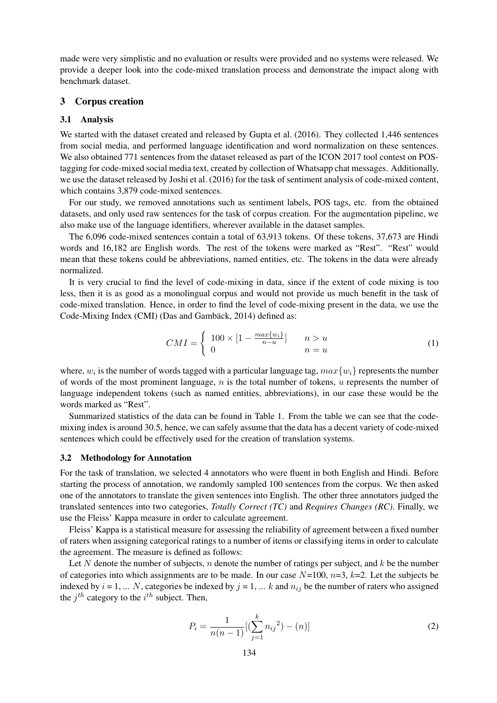made were very simplistic and no evaluation or results were provided and no systems were released. We provide a deeper look into the code-mixed translation process and demonstrate the impact along with benchmark dataset.

#### 3 Corpus creation

#### 3.1 Analysis

We started with the dataset created and released by Gupta et al. (2016). They collected 1,446 sentences from social media, and performed language identification and word normalization on these sentences. We also obtained 771 sentences from the dataset released as part of the ICON 2017 tool contest on POStagging for code-mixed social media text, created by collection of Whatsapp chat messages. Additionally, we use the dataset released by Joshi et al. (2016) for the task of sentiment analysis of code-mixed content, which contains 3,879 code-mixed sentences.

For our study, we removed annotations such as sentiment labels, POS tags, etc. from the obtained datasets, and only used raw sentences for the task of corpus creation. For the augmentation pipeline, we also make use of the language identifiers, wherever available in the dataset samples.

The 6,096 code-mixed sentences contain a total of 63,913 tokens. Of these tokens, 37,673 are Hindi words and 16,182 are English words. The rest of the tokens were marked as "Rest". "Rest" would mean that these tokens could be abbreviations, named entities, etc. The tokens in the data were already normalized.

It is very crucial to find the level of code-mixing in data, since if the extent of code mixing is too less, then it is as good as a monolingual corpus and would not provide us much benefit in the task of code-mixed translation. Hence, in order to find the level of code-mixing present in the data, we use the Code-Mixing Index (CMI) (Das and Gambäck, 2014) defined as:

$$
CMI = \begin{cases} 100 \times \left[1 - \frac{max\{w_i\}}{n - u}\right] & n > u \\ 0 & n = u \end{cases} \tag{1}
$$

where,  $w_i$  is the number of words tagged with a particular language tag,  $max\{w_i\}$  represents the number of words of the most prominent language,  $n$  is the total number of tokens,  $u$  represents the number of language independent tokens (such as named entities, abbreviations), in our case these would be the words marked as "Rest".

Summarized statistics of the data can be found in Table 1. From the table we can see that the codemixing index is around 30.5, hence, we can safely assume that the data has a decent variety of code-mixed sentences which could be effectively used for the creation of translation systems.

#### 3.2 Methodology for Annotation

For the task of translation, we selected 4 annotators who were fluent in both English and Hindi. Before starting the process of annotation, we randomly sampled 100 sentences from the corpus. We then asked one of the annotators to translate the given sentences into English. The other three annotators judged the translated sentences into two categories, *Totally Correct (TC)* and *Requires Changes (RC)*. Finally, we use the Fleiss' Kappa measure in order to calculate agreement.

Fleiss' Kappa is a statistical measure for assessing the reliability of agreement between a fixed number of raters when assigning categorical ratings to a number of items or classifying items in order to calculate the agreement. The measure is defined as follows:

Let N denote the number of subjects, n denote the number of ratings per subject, and  $k$  be the number of categories into which assignments are to be made. In our case  $N=100$ ,  $n=3$ ,  $k=2$ . Let the subjects be indexed by  $i = 1, \dots N$ , categories be indexed by  $j = 1, \dots k$  and  $n_{ij}$  be the number of raters who assigned the  $j^{th}$  category to the  $i^{th}$  subject. Then,

$$
P_i = \frac{1}{n(n-1)} [(\sum_{j=1}^k n_{ij}^2) - (n)]
$$
\n(2)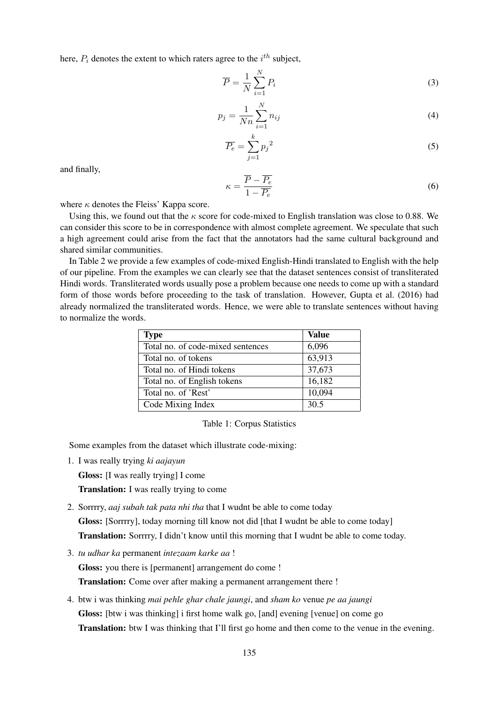here,  $P_i$  denotes the extent to which raters agree to the  $i^{th}$  subject,

$$
\overline{P} = \frac{1}{N} \sum_{i=1}^{N} P_i
$$
\n(3)

$$
p_j = \frac{1}{Nn} \sum_{i=1}^{N} n_{ij}
$$
 (4)

$$
\overline{P_e} = \sum_{j=1}^{k} p_j^2 \tag{5}
$$

and finally,

$$
\kappa = \frac{\overline{P} - \overline{P_e}}{1 - \overline{P_e}}\tag{6}
$$

where  $\kappa$  denotes the Fleiss' Kappa score.

Using this, we found out that the  $\kappa$  score for code-mixed to English translation was close to 0.88. We can consider this score to be in correspondence with almost complete agreement. We speculate that such a high agreement could arise from the fact that the annotators had the same cultural background and shared similar communities.

In Table 2 we provide a few examples of code-mixed English-Hindi translated to English with the help of our pipeline. From the examples we can clearly see that the dataset sentences consist of transliterated Hindi words. Transliterated words usually pose a problem because one needs to come up with a standard form of those words before proceeding to the task of translation. However, Gupta et al. (2016) had already normalized the transliterated words. Hence, we were able to translate sentences without having to normalize the words.

| <b>Type</b>                       | Value  |
|-----------------------------------|--------|
| Total no. of code-mixed sentences | 6,096  |
| Total no. of tokens               | 63,913 |
| Total no. of Hindi tokens         | 37,673 |
| Total no. of English tokens       | 16,182 |
| Total no. of 'Rest'               | 10,094 |
| Code Mixing Index                 | 30.5   |

Table 1: Corpus Statistics

Some examples from the dataset which illustrate code-mixing:

1. I was really trying *ki aajayun*

Gloss: [I was really trying] I come

Translation: I was really trying to come

- 2. Sorrrry, *aaj subah tak pata nhi tha* that I wudnt be able to come today Gloss: [Sorrrry], today morning till know not did [that I wudnt be able to come today] Translation: Sorrrry, I didn't know until this morning that I wudnt be able to come today.
- 3. *tu udhar ka* permanent *intezaam karke aa* !

Gloss: you there is [permanent] arrangement do come !

Translation: Come over after making a permanent arrangement there !

4. btw i was thinking *mai pehle ghar chale jaungi*, and *sham ko* venue *pe aa jaungi* Gloss: [btw i was thinking] i first home walk go, [and] evening [venue] on come go Translation: btw I was thinking that I'll first go home and then come to the venue in the evening.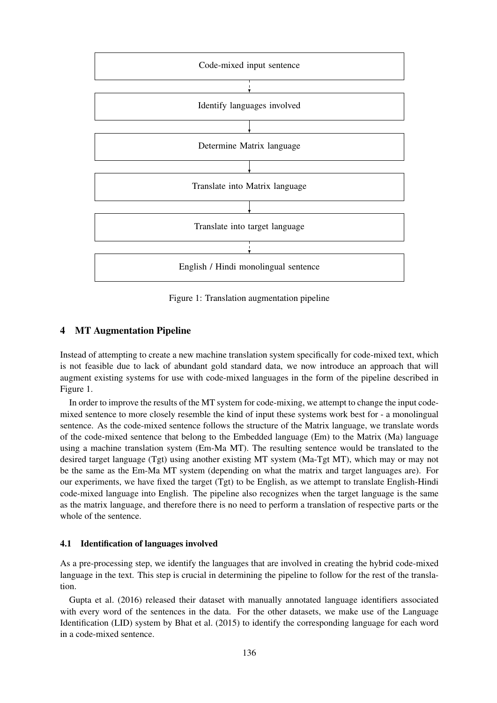

Figure 1: Translation augmentation pipeline

### 4 MT Augmentation Pipeline

Instead of attempting to create a new machine translation system specifically for code-mixed text, which is not feasible due to lack of abundant gold standard data, we now introduce an approach that will augment existing systems for use with code-mixed languages in the form of the pipeline described in Figure 1.

In order to improve the results of the MT system for code-mixing, we attempt to change the input codemixed sentence to more closely resemble the kind of input these systems work best for - a monolingual sentence. As the code-mixed sentence follows the structure of the Matrix language, we translate words of the code-mixed sentence that belong to the Embedded language (Em) to the Matrix (Ma) language using a machine translation system (Em-Ma MT). The resulting sentence would be translated to the desired target language (Tgt) using another existing MT system (Ma-Tgt MT), which may or may not be the same as the Em-Ma MT system (depending on what the matrix and target languages are). For our experiments, we have fixed the target (Tgt) to be English, as we attempt to translate English-Hindi code-mixed language into English. The pipeline also recognizes when the target language is the same as the matrix language, and therefore there is no need to perform a translation of respective parts or the whole of the sentence.

#### 4.1 Identification of languages involved

As a pre-processing step, we identify the languages that are involved in creating the hybrid code-mixed language in the text. This step is crucial in determining the pipeline to follow for the rest of the translation.

Gupta et al. (2016) released their dataset with manually annotated language identifiers associated with every word of the sentences in the data. For the other datasets, we make use of the Language Identification (LID) system by Bhat et al. (2015) to identify the corresponding language for each word in a code-mixed sentence.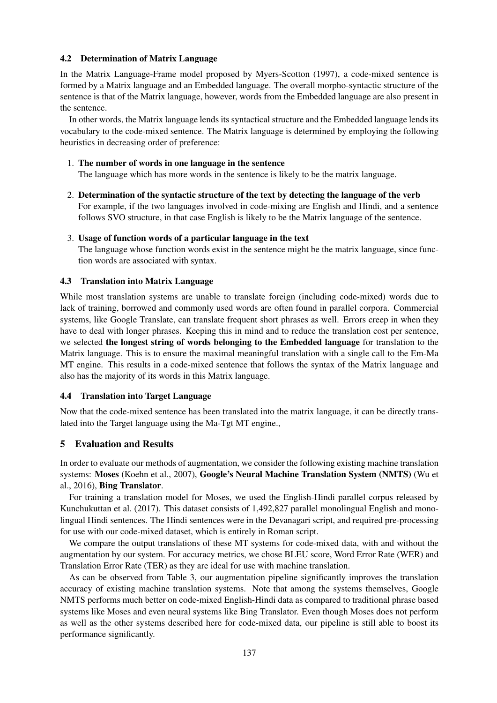## 4.2 Determination of Matrix Language

In the Matrix Language-Frame model proposed by Myers-Scotton (1997), a code-mixed sentence is formed by a Matrix language and an Embedded language. The overall morpho-syntactic structure of the sentence is that of the Matrix language, however, words from the Embedded language are also present in the sentence.

In other words, the Matrix language lends its syntactical structure and the Embedded language lends its vocabulary to the code-mixed sentence. The Matrix language is determined by employing the following heuristics in decreasing order of preference:

1. The number of words in one language in the sentence

The language which has more words in the sentence is likely to be the matrix language.

2. Determination of the syntactic structure of the text by detecting the language of the verb For example, if the two languages involved in code-mixing are English and Hindi, and a sentence follows SVO structure, in that case English is likely to be the Matrix language of the sentence.

### 3. Usage of function words of a particular language in the text

The language whose function words exist in the sentence might be the matrix language, since function words are associated with syntax.

### 4.3 Translation into Matrix Language

While most translation systems are unable to translate foreign (including code-mixed) words due to lack of training, borrowed and commonly used words are often found in parallel corpora. Commercial systems, like Google Translate, can translate frequent short phrases as well. Errors creep in when they have to deal with longer phrases. Keeping this in mind and to reduce the translation cost per sentence, we selected the longest string of words belonging to the Embedded language for translation to the Matrix language. This is to ensure the maximal meaningful translation with a single call to the Em-Ma MT engine. This results in a code-mixed sentence that follows the syntax of the Matrix language and also has the majority of its words in this Matrix language.

## 4.4 Translation into Target Language

Now that the code-mixed sentence has been translated into the matrix language, it can be directly translated into the Target language using the Ma-Tgt MT engine.,

## 5 Evaluation and Results

In order to evaluate our methods of augmentation, we consider the following existing machine translation systems: Moses (Koehn et al., 2007), Google's Neural Machine Translation System (NMTS) (Wu et al., 2016), Bing Translator.

For training a translation model for Moses, we used the English-Hindi parallel corpus released by Kunchukuttan et al. (2017). This dataset consists of 1,492,827 parallel monolingual English and monolingual Hindi sentences. The Hindi sentences were in the Devanagari script, and required pre-processing for use with our code-mixed dataset, which is entirely in Roman script.

We compare the output translations of these MT systems for code-mixed data, with and without the augmentation by our system. For accuracy metrics, we chose BLEU score, Word Error Rate (WER) and Translation Error Rate (TER) as they are ideal for use with machine translation.

As can be observed from Table 3, our augmentation pipeline significantly improves the translation accuracy of existing machine translation systems. Note that among the systems themselves, Google NMTS performs much better on code-mixed English-Hindi data as compared to traditional phrase based systems like Moses and even neural systems like Bing Translator. Even though Moses does not perform as well as the other systems described here for code-mixed data, our pipeline is still able to boost its performance significantly.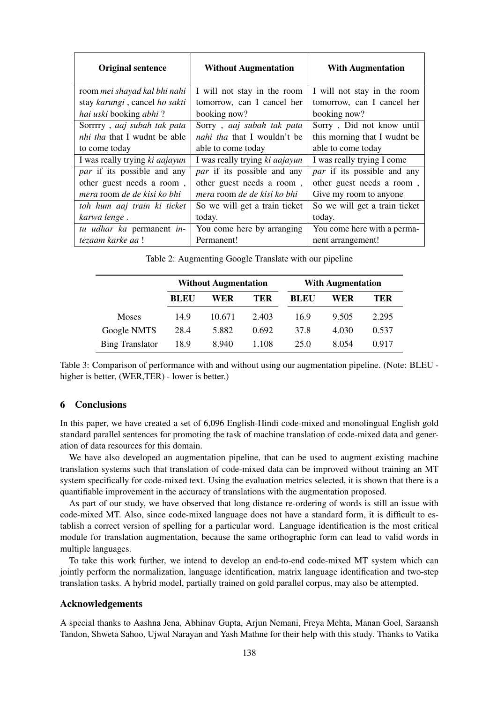| <b>Original sentence</b>            | <b>Without Augmentation</b>        | <b>With Augmentation</b>           |  |
|-------------------------------------|------------------------------------|------------------------------------|--|
| room mei shayad kal bhi nahi        | I will not stay in the room        | I will not stay in the room        |  |
| stay karungi, cancel ho sakti       | tomorrow, can I cancel her         | tomorrow, can I cancel her         |  |
| hai uski booking abhi?              | booking now?                       | booking now?                       |  |
| Sorrrry, aaj subah tak pata         | Sorry, aaj subah tak pata          | Sorry, Did not know until          |  |
| <i>nhi tha</i> that I wudnt be able | <i>nahi tha</i> that I wouldn't be | this morning that I wudnt be       |  |
| to come today                       | able to come today                 | able to come today                 |  |
| I was really trying ki aajayun      | I was really trying ki aajayun     | I was really trying I come         |  |
| <i>par</i> if its possible and any  | <i>par</i> if its possible and any | <i>par</i> if its possible and any |  |
| other guest needs a room,           | other guest needs a room,          | other guest needs a room,          |  |
| mera room de de kisi ko bhi         | mera room de de kisi ko bhi        | Give my room to anyone             |  |
| toh hum aaj train ki ticket         | So we will get a train ticket      | So we will get a train ticket      |  |
| karwa lenge.                        | today.                             | today.                             |  |
| tu udhar ka permanent in-           | You come here by arranging         | You come here with a perma-        |  |
| tezaam karke aa !                   | Permanent!                         | nent arrangement!                  |  |

Table 2: Augmenting Google Translate with our pipeline

|                        | <b>Without Augmentation</b> |        |            | <b>With Augmentation</b> |       |       |
|------------------------|-----------------------------|--------|------------|--------------------------|-------|-------|
|                        | <b>BLEU</b>                 | WER    | <b>TER</b> | <b>BLEU</b>              | WER   | TER   |
| Moses                  | 14.9                        | 10.671 | 2.403      | 16.9                     | 9.505 | 2.295 |
| Google NMTS            | 28.4                        | 5.882  | 0.692      | 37.8                     | 4.030 | 0.537 |
| <b>Bing Translator</b> | 18.9                        | 8.940  | 1.108      | 25.0                     | 8.054 | 0.917 |

Table 3: Comparison of performance with and without using our augmentation pipeline. (Note: BLEU higher is better, (WER,TER) - lower is better.)

## 6 Conclusions

In this paper, we have created a set of 6,096 English-Hindi code-mixed and monolingual English gold standard parallel sentences for promoting the task of machine translation of code-mixed data and generation of data resources for this domain.

We have also developed an augmentation pipeline, that can be used to augment existing machine translation systems such that translation of code-mixed data can be improved without training an MT system specifically for code-mixed text. Using the evaluation metrics selected, it is shown that there is a quantifiable improvement in the accuracy of translations with the augmentation proposed.

As part of our study, we have observed that long distance re-ordering of words is still an issue with code-mixed MT. Also, since code-mixed language does not have a standard form, it is difficult to establish a correct version of spelling for a particular word. Language identification is the most critical module for translation augmentation, because the same orthographic form can lead to valid words in multiple languages.

To take this work further, we intend to develop an end-to-end code-mixed MT system which can jointly perform the normalization, language identification, matrix language identification and two-step translation tasks. A hybrid model, partially trained on gold parallel corpus, may also be attempted.

#### Acknowledgements

A special thanks to Aashna Jena, Abhinav Gupta, Arjun Nemani, Freya Mehta, Manan Goel, Saraansh Tandon, Shweta Sahoo, Ujwal Narayan and Yash Mathne for their help with this study. Thanks to Vatika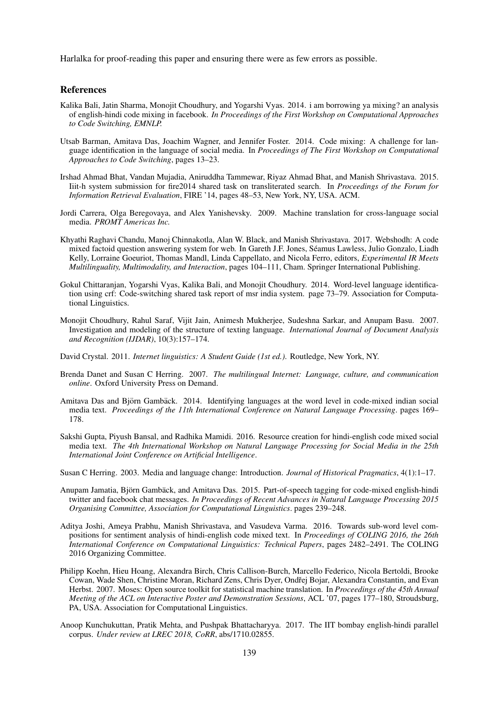Harlalka for proof-reading this paper and ensuring there were as few errors as possible.

#### **References**

- Kalika Bali, Jatin Sharma, Monojit Choudhury, and Yogarshi Vyas. 2014. i am borrowing ya mixing? an analysis of english-hindi code mixing in facebook. *In Proceedings of the First Workshop on Computational Approaches to Code Switching, EMNLP.*
- Utsab Barman, Amitava Das, Joachim Wagner, and Jennifer Foster. 2014. Code mixing: A challenge for language identification in the language of social media. In *Proceedings of The First Workshop on Computational Approaches to Code Switching*, pages 13–23.
- Irshad Ahmad Bhat, Vandan Mujadia, Aniruddha Tammewar, Riyaz Ahmad Bhat, and Manish Shrivastava. 2015. Iiit-h system submission for fire2014 shared task on transliterated search. In *Proceedings of the Forum for Information Retrieval Evaluation*, FIRE '14, pages 48–53, New York, NY, USA. ACM.
- Jordi Carrera, Olga Beregovaya, and Alex Yanishevsky. 2009. Machine translation for cross-language social media. *PROMT Americas Inc.*
- Khyathi Raghavi Chandu, Manoj Chinnakotla, Alan W. Black, and Manish Shrivastava. 2017. Webshodh: A code mixed factoid question answering system for web. In Gareth J.F. Jones, Seamus Lawless, Julio Gonzalo, Liadh ´ Kelly, Lorraine Goeuriot, Thomas Mandl, Linda Cappellato, and Nicola Ferro, editors, *Experimental IR Meets Multilinguality, Multimodality, and Interaction*, pages 104–111, Cham. Springer International Publishing.
- Gokul Chittaranjan, Yogarshi Vyas, Kalika Bali, and Monojit Choudhury. 2014. Word-level language identification using crf: Code-switching shared task report of msr india system. page 73–79. Association for Computational Linguistics.
- Monojit Choudhury, Rahul Saraf, Vijit Jain, Animesh Mukherjee, Sudeshna Sarkar, and Anupam Basu. 2007. Investigation and modeling of the structure of texting language. *International Journal of Document Analysis and Recognition (IJDAR)*, 10(3):157–174.
- David Crystal. 2011. *Internet linguistics: A Student Guide (1st ed.)*. Routledge, New York, NY.
- Brenda Danet and Susan C Herring. 2007. *The multilingual Internet: Language, culture, and communication online*. Oxford University Press on Demand.
- Amitava Das and Björn Gambäck. 2014. Identifying languages at the word level in code-mixed indian social media text. *Proceedings of the 11th International Conference on Natural Language Processing*. pages 169– 178.
- Sakshi Gupta, Piyush Bansal, and Radhika Mamidi. 2016. Resource creation for hindi-english code mixed social media text. *The 4th International Workshop on Natural Language Processing for Social Media in the 25th International Joint Conference on Artificial Intelligence*.
- Susan C Herring. 2003. Media and language change: Introduction. *Journal of Historical Pragmatics*, 4(1):1–17.
- Anupam Jamatia, Björn Gambäck, and Amitava Das. 2015. Part-of-speech tagging for code-mixed english-hindi twitter and facebook chat messages. *In Proceedings of Recent Advances in Natural Language Processing 2015 Organising Committee, Association for Computational Linguistics*. pages 239–248.
- Aditya Joshi, Ameya Prabhu, Manish Shrivastava, and Vasudeva Varma. 2016. Towards sub-word level compositions for sentiment analysis of hindi-english code mixed text. In *Proceedings of COLING 2016, the 26th International Conference on Computational Linguistics: Technical Papers*, pages 2482–2491. The COLING 2016 Organizing Committee.
- Philipp Koehn, Hieu Hoang, Alexandra Birch, Chris Callison-Burch, Marcello Federico, Nicola Bertoldi, Brooke Cowan, Wade Shen, Christine Moran, Richard Zens, Chris Dyer, Ondˇrej Bojar, Alexandra Constantin, and Evan Herbst. 2007. Moses: Open source toolkit for statistical machine translation. In *Proceedings of the 45th Annual Meeting of the ACL on Interactive Poster and Demonstration Sessions*, ACL '07, pages 177–180, Stroudsburg, PA, USA. Association for Computational Linguistics.
- Anoop Kunchukuttan, Pratik Mehta, and Pushpak Bhattacharyya. 2017. The IIT bombay english-hindi parallel corpus. *Under review at LREC 2018, CoRR*, abs/1710.02855.